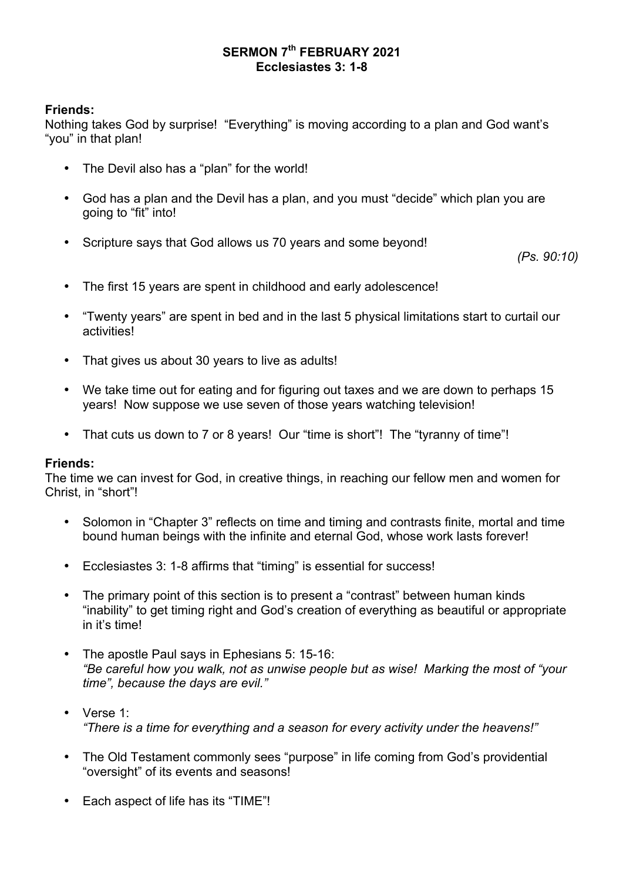# **SERMON 7th FEBRUARY 2021 Ecclesiastes 3: 1-8**

# **Friends:**

Nothing takes God by surprise! "Everything" is moving according to a plan and God want's "you" in that plan!

- The Devil also has a "plan" for the world!
- God has a plan and the Devil has a plan, and you must "decide" which plan you are going to "fit" into!
- Scripture says that God allows us 70 years and some beyond!

*(Ps. 90:10)*

- The first 15 years are spent in childhood and early adolescence!
- "Twenty years" are spent in bed and in the last 5 physical limitations start to curtail our activities!
- That gives us about 30 years to live as adults!
- We take time out for eating and for figuring out taxes and we are down to perhaps 15 years! Now suppose we use seven of those years watching television!
- That cuts us down to 7 or 8 years! Our "time is short"! The "tyranny of time"!

### **Friends:**

The time we can invest for God, in creative things, in reaching our fellow men and women for Christ, in "short"!

- Solomon in "Chapter 3" reflects on time and timing and contrasts finite, mortal and time bound human beings with the infinite and eternal God, whose work lasts forever!
- Ecclesiastes 3: 1-8 affirms that "timing" is essential for success!
- The primary point of this section is to present a "contrast" between human kinds "inability" to get timing right and God's creation of everything as beautiful or appropriate in it's time!
- The apostle Paul says in Ephesians 5: 15-16: *"Be careful how you walk, not as unwise people but as wise! Marking the most of "your time", because the days are evil."*
- Verse 1: *"There is a time for everything and a season for every activity under the heavens!"*
- The Old Testament commonly sees "purpose" in life coming from God's providential "oversight" of its events and seasons!
- Each aspect of life has its "TIME"!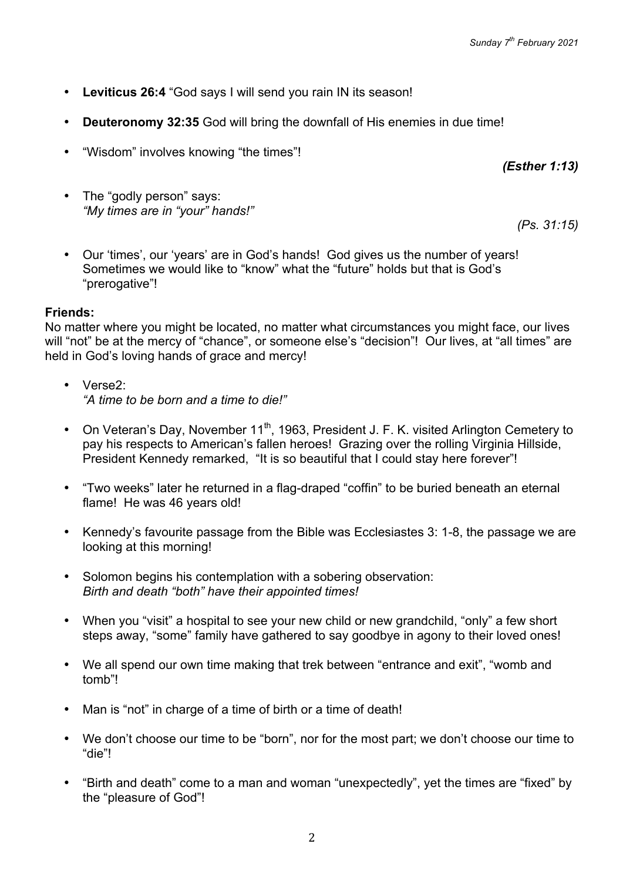- **Leviticus 26:4** "God says I will send you rain IN its season!
- **Deuteronomy 32:35** God will bring the downfall of His enemies in due time!
- "Wisdom" involves knowing "the times"!
- The "godly person" says: *"My times are in "your" hands!"*

*(Ps. 31:15)*

*(Esther 1:13)*

• Our 'times', our 'years' are in God's hands! God gives us the number of years! Sometimes we would like to "know" what the "future" holds but that is God's "prerogative"!

### **Friends:**

No matter where you might be located, no matter what circumstances you might face, our lives will "not" be at the mercy of "chance", or someone else's "decision"! Our lives, at "all times" are held in God's loving hands of grace and mercy!

- Verse2: *"A time to be born and a time to die!"*
- On Veteran's Day, November  $11<sup>th</sup>$ , 1963, President J. F. K. visited Arlington Cemetery to pay his respects to American's fallen heroes! Grazing over the rolling Virginia Hillside, President Kennedy remarked, "It is so beautiful that I could stay here forever"!
- "Two weeks" later he returned in a flag-draped "coffin" to be buried beneath an eternal flame! He was 46 years old!
- Kennedy's favourite passage from the Bible was Ecclesiastes 3: 1-8, the passage we are looking at this morning!
- Solomon begins his contemplation with a sobering observation: *Birth and death "both" have their appointed times!*
- When you "visit" a hospital to see your new child or new grandchild, "only" a few short steps away, "some" family have gathered to say goodbye in agony to their loved ones!
- We all spend our own time making that trek between "entrance and exit", "womb and tomb"!
- Man is "not" in charge of a time of birth or a time of death!
- We don't choose our time to be "born", nor for the most part; we don't choose our time to "die"!
- "Birth and death" come to a man and woman "unexpectedly", yet the times are "fixed" by the "pleasure of God"!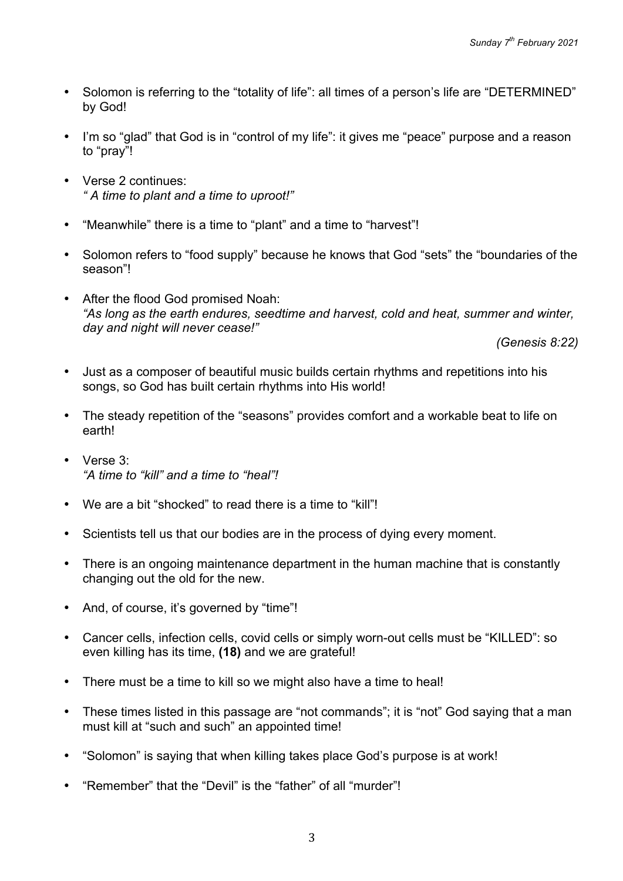- Solomon is referring to the "totality of life": all times of a person's life are "DETERMINED" by God!
- I'm so "glad" that God is in "control of my life": it gives me "peace" purpose and a reason to "pray"!
- Verse 2 continues: *" A time to plant and a time to uproot!"*
- "Meanwhile" there is a time to "plant" and a time to "harvest"!
- Solomon refers to "food supply" because he knows that God "sets" the "boundaries of the season"!
- After the flood God promised Noah: *"As long as the earth endures, seedtime and harvest, cold and heat, summer and winter, day and night will never cease!"*

*(Genesis 8:22)*

- Just as a composer of beautiful music builds certain rhythms and repetitions into his songs, so God has built certain rhythms into His world!
- The steady repetition of the "seasons" provides comfort and a workable beat to life on earth!
- Verse 3: *"A time to "kill" and a time to "heal"!*
- We are a bit "shocked" to read there is a time to "kill"!
- Scientists tell us that our bodies are in the process of dying every moment.
- There is an ongoing maintenance department in the human machine that is constantly changing out the old for the new.
- And, of course, it's governed by "time"!
- Cancer cells, infection cells, covid cells or simply worn-out cells must be "KILLED": so even killing has its time, **(18)** and we are grateful!
- There must be a time to kill so we might also have a time to heal!
- These times listed in this passage are "not commands"; it is "not" God saying that a man must kill at "such and such" an appointed time!
- "Solomon" is saying that when killing takes place God's purpose is at work!
- "Remember" that the "Devil" is the "father" of all "murder"!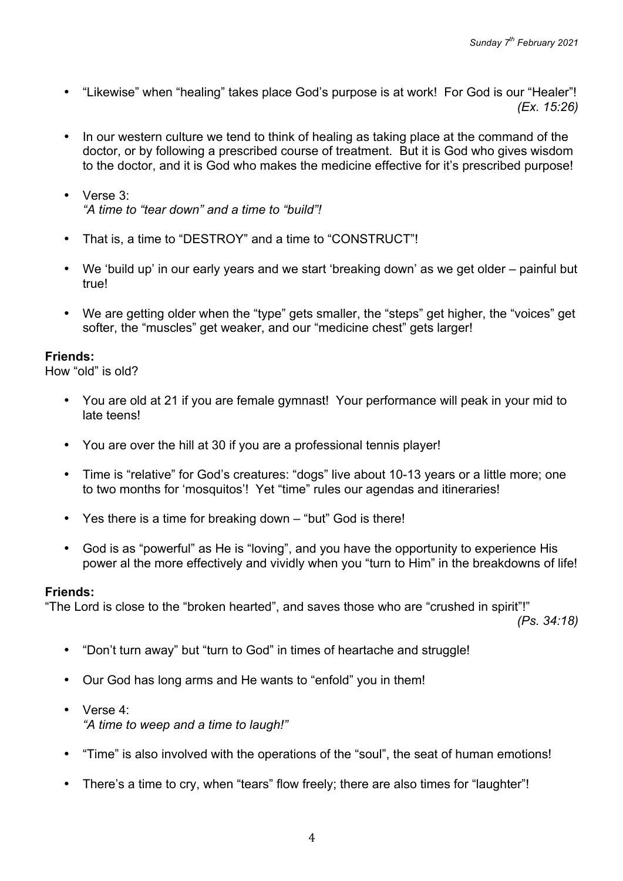- "Likewise" when "healing" takes place God's purpose is at work! For God is our "Healer"! *(Ex. 15:26)*
- In our western culture we tend to think of healing as taking place at the command of the doctor, or by following a prescribed course of treatment. But it is God who gives wisdom to the doctor, and it is God who makes the medicine effective for it's prescribed purpose!
- Verse 3: *"A time to "tear down" and a time to "build"!*
- That is, a time to "DESTROY" and a time to "CONSTRUCT"!
- We 'build up' in our early years and we start 'breaking down' as we get older painful but true!
- We are getting older when the "type" gets smaller, the "steps" get higher, the "voices" get softer, the "muscles" get weaker, and our "medicine chest" gets larger!

How "old" is old?

- You are old at 21 if you are female gymnast! Your performance will peak in your mid to late teens!
- You are over the hill at 30 if you are a professional tennis player!
- Time is "relative" for God's creatures: "dogs" live about 10-13 years or a little more; one to two months for 'mosquitos'! Yet "time" rules our agendas and itineraries!
- Yes there is a time for breaking down "but" God is there!
- God is as "powerful" as He is "loving", and you have the opportunity to experience His power al the more effectively and vividly when you "turn to Him" in the breakdowns of life!

### **Friends:**

"The Lord is close to the "broken hearted", and saves those who are "crushed in spirit"!"

*(Ps. 34:18)*

- "Don't turn away" but "turn to God" in times of heartache and struggle!
- Our God has long arms and He wants to "enfold" you in them!
- Verse 4: *"A time to weep and a time to laugh!"*
- "Time" is also involved with the operations of the "soul", the seat of human emotions!
- There's a time to cry, when "tears" flow freely; there are also times for "laughter"!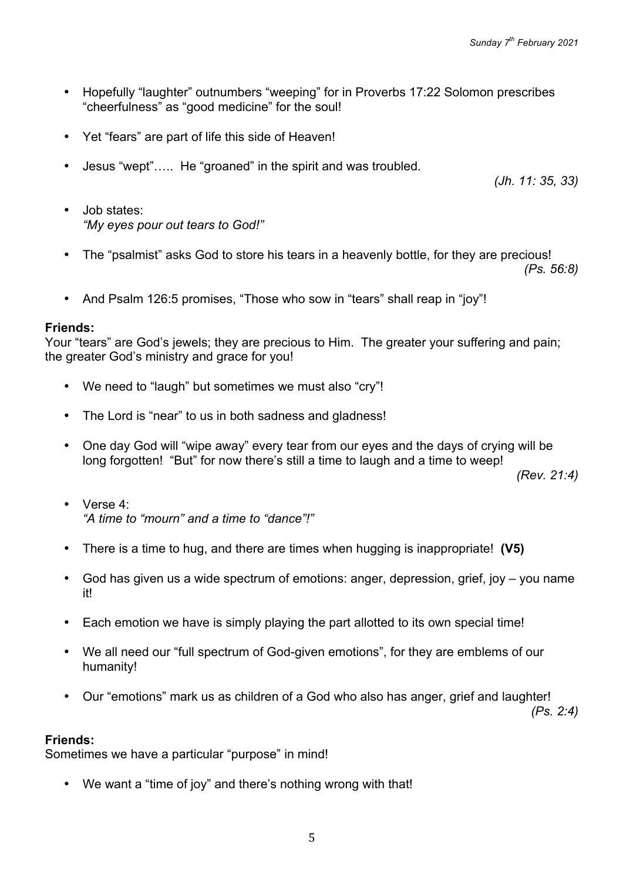- Hopefully "laughter" outnumbers "weeping" for in Proverbs 17:22 Solomon prescribes "cheerfulness" as "good medicine" for the soul!
- Yet "fears" are part of life this side of Heaven!
- Jesus "wept"….. He "groaned" in the spirit and was troubled.

*(Jh. 11: 35, 33)*

- Job states: *"My eyes pour out tears to God!"*
- The "psalmist" asks God to store his tears in a heavenly bottle, for they are precious! *(Ps. 56:8)*
- And Psalm 126:5 promises, "Those who sow in "tears" shall reap in "joy"!

### **Friends:**

Your "tears" are God's jewels; they are precious to Him. The greater your suffering and pain; the greater God's ministry and grace for you!

- We need to "laugh" but sometimes we must also "cry"!
- The Lord is "near" to us in both sadness and gladness!
- One day God will "wipe away" every tear from our eyes and the days of crying will be long forgotten! "But" for now there's still a time to laugh and a time to weep!

*(Rev. 21:4)*

- Verse 4: *"A time to "mourn" and a time to "dance"!"*
- There is a time to hug, and there are times when hugging is inappropriate! **(V5)**
- God has given us a wide spectrum of emotions: anger, depression, grief, joy you name it!
- Each emotion we have is simply playing the part allotted to its own special time!
- We all need our "full spectrum of God-given emotions", for they are emblems of our humanity!
- Our "emotions" mark us as children of a God who also has anger, grief and laughter!

*(Ps. 2:4)*

#### **Friends:**

Sometimes we have a particular "purpose" in mind!

• We want a "time of joy" and there's nothing wrong with that!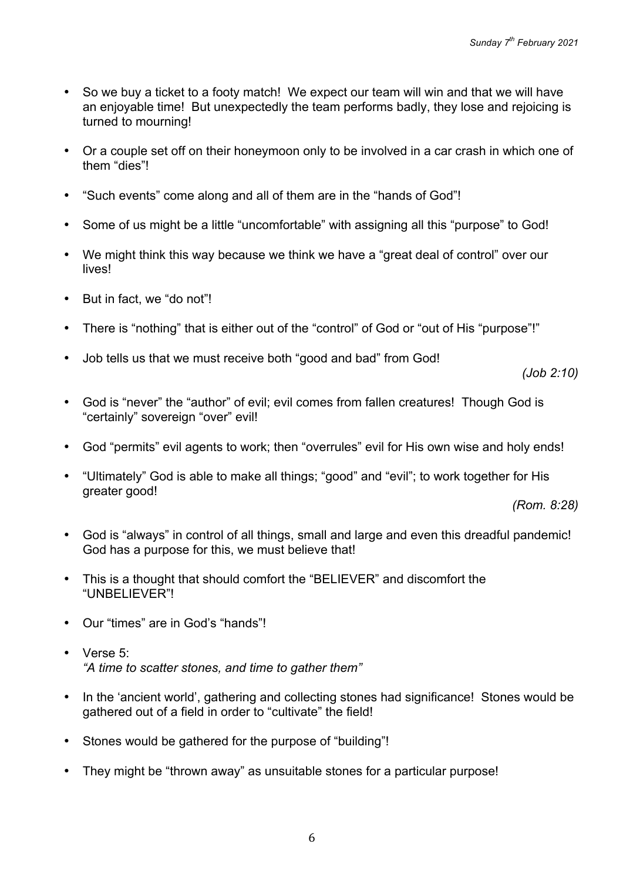- So we buy a ticket to a footy match! We expect our team will win and that we will have an enjoyable time! But unexpectedly the team performs badly, they lose and rejoicing is turned to mourning!
- Or a couple set off on their honeymoon only to be involved in a car crash in which one of them "dies"!
- "Such events" come along and all of them are in the "hands of God"!
- Some of us might be a little "uncomfortable" with assigning all this "purpose" to God!
- We might think this way because we think we have a "great deal of control" over our lives!
- But in fact, we "do not"!
- There is "nothing" that is either out of the "control" of God or "out of His "purpose"!"
- Job tells us that we must receive both "good and bad" from God!

*(Job 2:10)*

- God is "never" the "author" of evil; evil comes from fallen creatures! Though God is "certainly" sovereign "over" evil!
- God "permits" evil agents to work; then "overrules" evil for His own wise and holy ends!
- "Ultimately" God is able to make all things; "good" and "evil"; to work together for His greater good!

*(Rom. 8:28)*

- God is "always" in control of all things, small and large and even this dreadful pandemic! God has a purpose for this, we must believe that!
- This is a thought that should comfort the "BELIEVER" and discomfort the "UNBELIEVER"!
- Our "times" are in God's "hands"!
- Verse 5: *"A time to scatter stones, and time to gather them"*
- In the 'ancient world', gathering and collecting stones had significance! Stones would be gathered out of a field in order to "cultivate" the field!
- Stones would be gathered for the purpose of "building"!
- They might be "thrown away" as unsuitable stones for a particular purpose!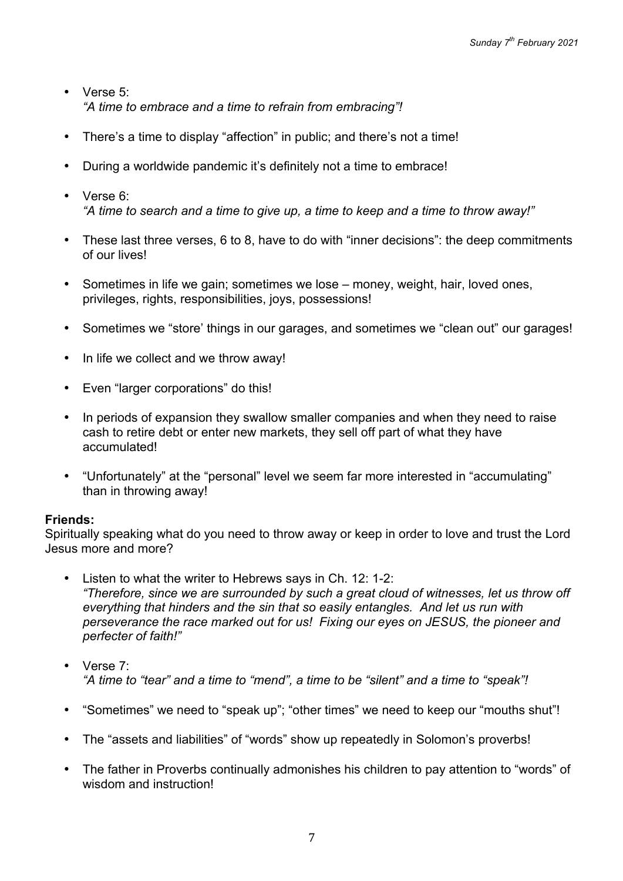- Verse 5<sup>:</sup> *"A time to embrace and a time to refrain from embracing"!*
- There's a time to display "affection" in public; and there's not a time!
- During a worldwide pandemic it's definitely not a time to embrace!
- Verse 6: *"A time to search and a time to give up, a time to keep and a time to throw away!"*
- These last three verses, 6 to 8, have to do with "inner decisions": the deep commitments of our lives!
- Sometimes in life we gain; sometimes we lose money, weight, hair, loved ones, privileges, rights, responsibilities, joys, possessions!
- Sometimes we "store' things in our garages, and sometimes we "clean out" our garages!
- In life we collect and we throw away!
- Even "larger corporations" do this!
- In periods of expansion they swallow smaller companies and when they need to raise cash to retire debt or enter new markets, they sell off part of what they have accumulated!
- "Unfortunately" at the "personal" level we seem far more interested in "accumulating" than in throwing away!

Spiritually speaking what do you need to throw away or keep in order to love and trust the Lord Jesus more and more?

- Listen to what the writer to Hebrews says in Ch. 12: 1-2: *"Therefore, since we are surrounded by such a great cloud of witnesses, let us throw off everything that hinders and the sin that so easily entangles. And let us run with perseverance the race marked out for us! Fixing our eyes on JESUS, the pioneer and perfecter of faith!"*
- Verse 7: *"A time to "tear" and a time to "mend", a time to be "silent" and a time to "speak"!*
- "Sometimes" we need to "speak up"; "other times" we need to keep our "mouths shut"!
- The "assets and liabilities" of "words" show up repeatedly in Solomon's proverbs!
- The father in Proverbs continually admonishes his children to pay attention to "words" of wisdom and instruction!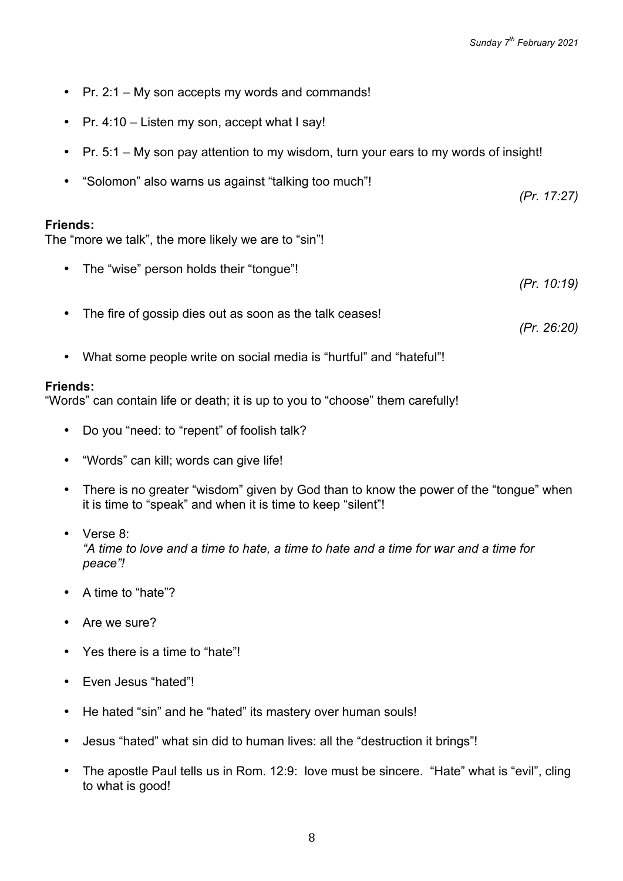- Pr. 2:1 My son accepts my words and commands!
- Pr. 4:10 Listen my son, accept what I say!
- Pr. 5:1 My son pay attention to my wisdom, turn your ears to my words of insight!
- "Solomon" also warns us against "talking too much"!

The "more we talk", the more likely we are to "sin"!

- The "wise" person holds their "tongue"! *(Pr. 10:19)*
- The fire of gossip dies out as soon as the talk ceases!

*(Pr. 26:20)*

*(Pr. 17:27)*

• What some people write on social media is "hurtful" and "hateful"!

#### **Friends:**

"Words" can contain life or death; it is up to you to "choose" them carefully!

- Do you "need: to "repent" of foolish talk?
- "Words" can kill; words can give life!
- There is no greater "wisdom" given by God than to know the power of the "tongue" when it is time to "speak" and when it is time to keep "silent"!
- Verse 8: *"A time to love and a time to hate, a time to hate and a time for war and a time for peace"!*
- A time to "hate"?
- Are we sure?
- Yes there is a time to "hate"!
- Even Jesus "hated"!
- He hated "sin" and he "hated" its mastery over human souls!
- Jesus "hated" what sin did to human lives: all the "destruction it brings"!
- The apostle Paul tells us in Rom. 12:9: love must be sincere. "Hate" what is "evil", cling to what is good!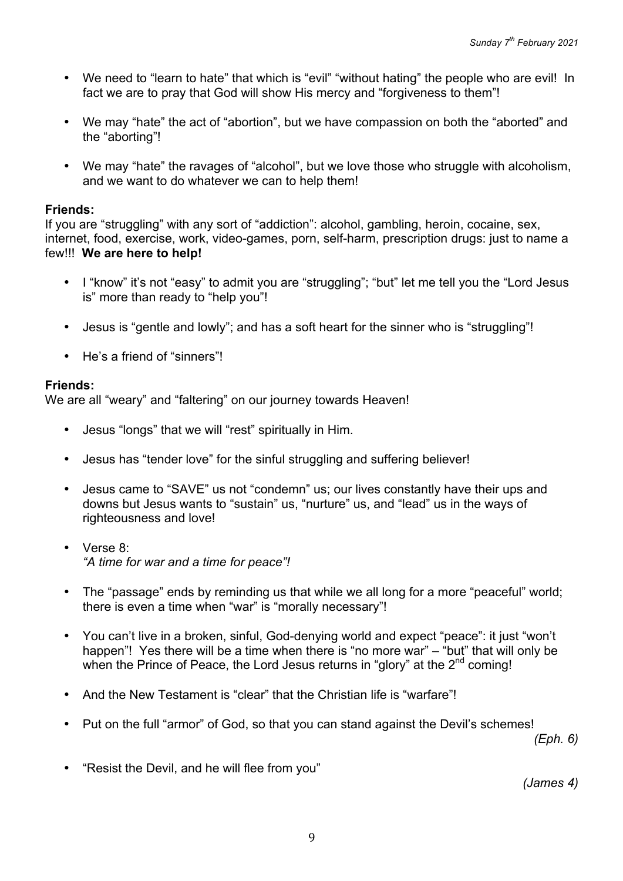- We need to "learn to hate" that which is "evil" "without hating" the people who are evil! In fact we are to pray that God will show His mercy and "forgiveness to them"!
- We may "hate" the act of "abortion", but we have compassion on both the "aborted" and the "aborting"!
- We may "hate" the ravages of "alcohol", but we love those who struggle with alcoholism, and we want to do whatever we can to help them!

If you are "struggling" with any sort of "addiction": alcohol, gambling, heroin, cocaine, sex, internet, food, exercise, work, video-games, porn, self-harm, prescription drugs: just to name a few!!! **We are here to help!**

- I "know" it's not "easy" to admit you are "struggling"; "but" let me tell you the "Lord Jesus is" more than ready to "help you"!
- Jesus is "gentle and lowly": and has a soft heart for the sinner who is "struggling"!
- He's a friend of "sinners"!

# **Friends:**

We are all "weary" and "faltering" on our journey towards Heaven!

- Jesus "longs" that we will "rest" spiritually in Him.
- Jesus has "tender love" for the sinful struggling and suffering believer!
- Jesus came to "SAVE" us not "condemn" us; our lives constantly have their ups and downs but Jesus wants to "sustain" us, "nurture" us, and "lead" us in the ways of righteousness and love!
- Verse 8: *"A time for war and a time for peace"!*
- The "passage" ends by reminding us that while we all long for a more "peaceful" world; there is even a time when "war" is "morally necessary"!
- You can't live in a broken, sinful, God-denying world and expect "peace": it just "won't happen"! Yes there will be a time when there is "no more war" – "but" that will only be when the Prince of Peace, the Lord Jesus returns in "glory" at the  $2<sup>nd</sup>$  coming!
- And the New Testament is "clear" that the Christian life is "warfare"!
- Put on the full "armor" of God, so that you can stand against the Devil's schemes!

*(Eph. 6)*

• "Resist the Devil, and he will flee from you"

*(James 4)*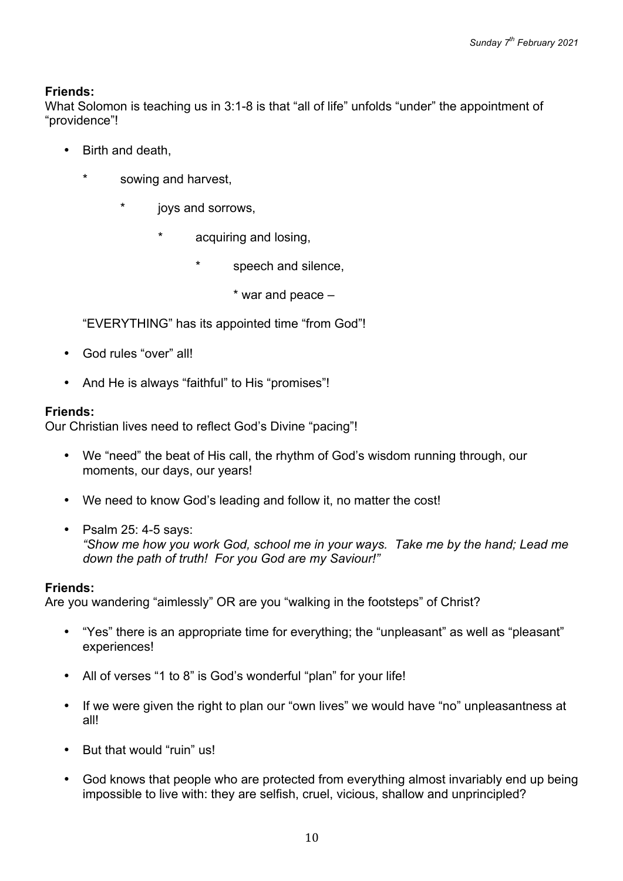What Solomon is teaching us in 3:1-8 is that "all of life" unfolds "under" the appointment of "providence"!

- Birth and death,
	- sowing and harvest,
		- joys and sorrows.
			- acquiring and losing,
				- speech and silence,

\* war and peace –

"EVERYTHING" has its appointed time "from God"!

- God rules "over" all!
- And He is always "faithful" to His "promises"!

# **Friends:**

Our Christian lives need to reflect God's Divine "pacing"!

- We "need" the beat of His call, the rhythm of God's wisdom running through, our moments, our days, our years!
- We need to know God's leading and follow it, no matter the cost!
- Psalm 25: 4-5 says: *"Show me how you work God, school me in your ways. Take me by the hand; Lead me down the path of truth! For you God are my Saviour!"*

### **Friends:**

Are you wandering "aimlessly" OR are you "walking in the footsteps" of Christ?

- "Yes" there is an appropriate time for everything; the "unpleasant" as well as "pleasant" experiences!
- All of verses "1 to 8" is God's wonderful "plan" for your life!
- If we were given the right to plan our "own lives" we would have "no" unpleasantness at all!
- But that would "ruin" us!
- God knows that people who are protected from everything almost invariably end up being impossible to live with: they are selfish, cruel, vicious, shallow and unprincipled?